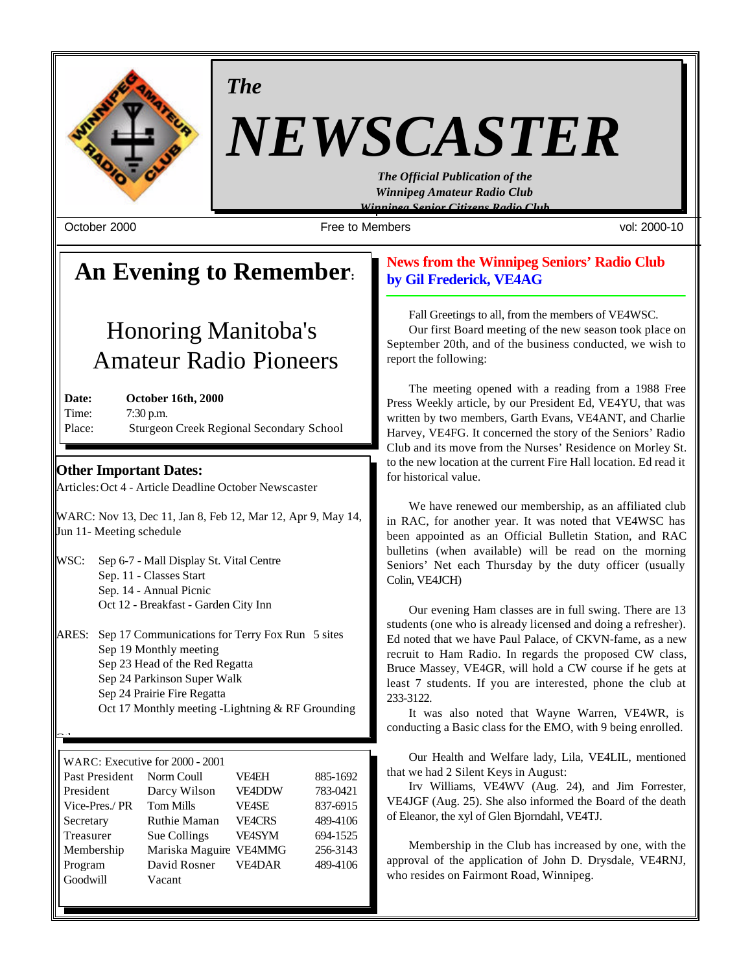

*The*

# *NEWSCASTER*

*The Official Publication of the Winnipeg Amateur Radio Club Winnipeg Senior Citizens Radio Club*

October 2000 Free to Members vol: 2000-10

# **An Evening to Remember:**

# Honoring Manitoba's Amateur Radio Pioneers

**Date: October 16th, 2000** Time: 7:30 p.m. Place: Sturgeon Creek Regional Secondary School

# **Other Important Dates:**

Other:

Articles: Oct 4 - Article Deadline October Newscaster

WARC: Nov 13, Dec 11, Jan 8, Feb 12, Mar 12, Apr 9, May 14, Jun 11- Meeting schedule

- WSC: Sep 6-7 Mall Display St. Vital Centre Sep. 11 - Classes Start Sep. 14 - Annual Picnic Oct 12 - Breakfast - Garden City Inn
- ARES: Sep 17 Communications for Terry Fox Run 5 sites Sep 19 Monthly meeting Sep 23 Head of the Red Regatta Sep 24 Parkinson Super Walk Sep 24 Prairie Fire Regatta Oct 17 Monthly meeting -Lightning & RF Grounding

| WARC: Executive for 2000 - 2001                   |                     |               |          |  |
|---------------------------------------------------|---------------------|---------------|----------|--|
| 885-1692<br>Past President<br>Norm Coull<br>VF4EH |                     |               |          |  |
| President                                         | Darcy Wilson        | <b>VE4DDW</b> | 783-0421 |  |
|                                                   |                     |               |          |  |
| Vice-Pres./PR                                     | <b>Tom Mills</b>    | <b>VE4SE</b>  | 837-6915 |  |
| Secretary                                         | <b>Ruthie Maman</b> | <b>VEACRS</b> | 489-4106 |  |
| Treasurer                                         | Sue Collings        | <b>VE4SYM</b> | 694-1525 |  |
| Membership                                        | Mariska Maguire     | <b>VE4MMG</b> | 256-3143 |  |
| Program                                           | David Rosner        | <b>VE4DAR</b> | 489-4106 |  |
| Goodwill                                          | Vacant              |               |          |  |

# **News from the Winnipeg Seniors' Radio Club by Gil Frederick, VE4AG**

Fall Greetings to all, from the members of VE4WSC.

Our first Board meeting of the new season took place on September 20th, and of the business conducted, we wish to report the following:

The meeting opened with a reading from a 1988 Free Press Weekly article, by our President Ed, VE4YU, that was written by two members, Garth Evans, VE4ANT, and Charlie Harvey, VE4FG. It concerned the story of the Seniors' Radio Club and its move from the Nurses' Residence on Morley St. to the new location at the current Fire Hall location. Ed read it for historical value.

We have renewed our membership, as an affiliated club in RAC, for another year. It was noted that VE4WSC has been appointed as an Official Bulletin Station, and RAC bulletins (when available) will be read on the morning Seniors' Net each Thursday by the duty officer (usually Colin, VE4JCH)

Our evening Ham classes are in full swing. There are 13 students (one who is already licensed and doing a refresher). Ed noted that we have Paul Palace, of CKVN-fame, as a new recruit to Ham Radio. In regards the proposed CW class, Bruce Massey, VE4GR, will hold a CW course if he gets at least 7 students. If you are interested, phone the club at 233-3122.

It was also noted that Wayne Warren, VE4WR, is conducting a Basic class for the EMO, with 9 being enrolled.

Our Health and Welfare lady, Lila, VE4LIL, mentioned that we had 2 Silent Keys in August:

Irv Williams, VE4WV (Aug. 24), and Jim Forrester, VE4JGF (Aug. 25). She also informed the Board of the death of Eleanor, the xyl of Glen Bjorndahl, VE4TJ.

Membership in the Club has increased by one, with the approval of the application of John D. Drysdale, VE4RNJ, who resides on Fairmont Road, Winnipeg.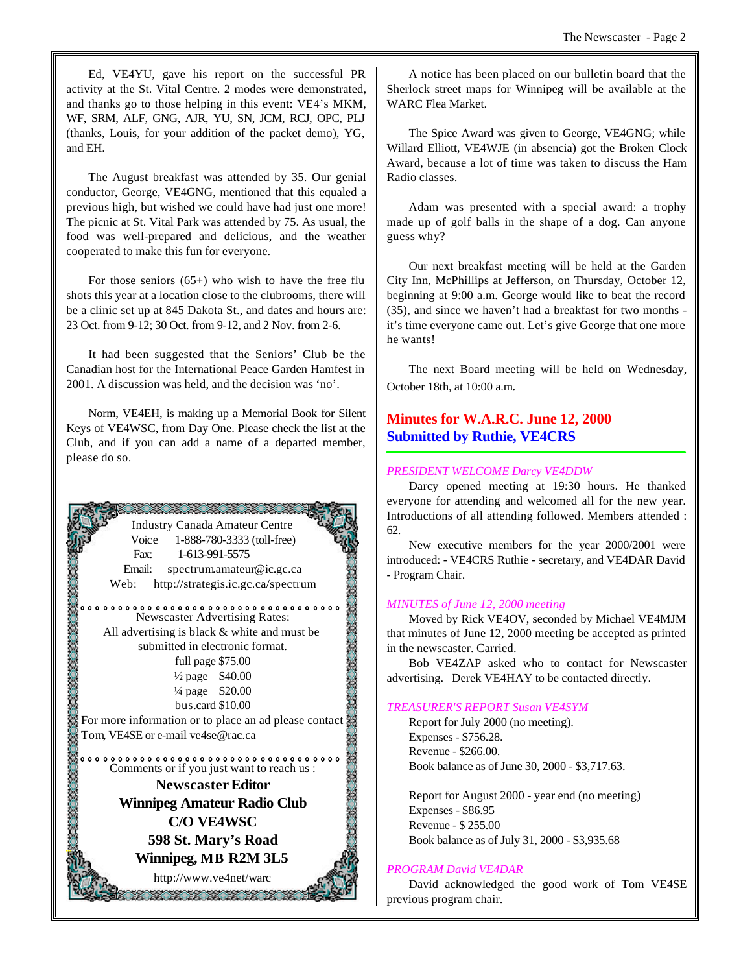Ed, VE4YU, gave his report on the successful PR activity at the St. Vital Centre. 2 modes were demonstrated, and thanks go to those helping in this event: VE4's MKM, WF, SRM, ALF, GNG, AJR, YU, SN, JCM, RCJ, OPC, PLJ (thanks, Louis, for your addition of the packet demo), YG, and EH.

The August breakfast was attended by 35. Our genial conductor, George, VE4GNG, mentioned that this equaled a previous high, but wished we could have had just one more! The picnic at St. Vital Park was attended by 75. As usual, the food was well-prepared and delicious, and the weather cooperated to make this fun for everyone.

For those seniors  $(65+)$  who wish to have the free flu shots this year at a location close to the clubrooms, there will be a clinic set up at 845 Dakota St., and dates and hours are: 23 Oct. from 9-12; 30 Oct. from 9-12, and 2 Nov. from 2-6.

It had been suggested that the Seniors' Club be the Canadian host for the International Peace Garden Hamfest in 2001. A discussion was held, and the decision was 'no'.

Norm, VE4EH, is making up a Memorial Book for Silent Keys of VE4WSC, from Day One. Please check the list at the Club, and if you can add a name of a departed member, please do so.



A notice has been placed on our bulletin board that the Sherlock street maps for Winnipeg will be available at the WARC Flea Market.

The Spice Award was given to George, VE4GNG; while Willard Elliott, VE4WJE (in absencia) got the Broken Clock Award, because a lot of time was taken to discuss the Ham Radio classes.

Adam was presented with a special award: a trophy made up of golf balls in the shape of a dog. Can anyone guess why?

Our next breakfast meeting will be held at the Garden City Inn, McPhillips at Jefferson, on Thursday, October 12, beginning at 9:00 a.m. George would like to beat the record (35), and since we haven't had a breakfast for two months it's time everyone came out. Let's give George that one more he wants!

The next Board meeting will be held on Wednesday, October 18th, at 10:00 a.m.

# **Minutes for W.A.R.C. June 12, 2000 Submitted by Ruthie, VE4CRS**

#### *PRESIDENT WELCOME Darcy VE4DDW*

Darcy opened meeting at 19:30 hours. He thanked everyone for attending and welcomed all for the new year. Introductions of all attending followed. Members attended : 62.

New executive members for the year 2000/2001 were introduced: - VE4CRS Ruthie - secretary, and VE4DAR David - Program Chair.

#### *MINUTES of June 12, 2000 meeting*

Moved by Rick VE4OV, seconded by Michael VE4MJM that minutes of June 12, 2000 meeting be accepted as printed in the newscaster. Carried.

Bob VE4ZAP asked who to contact for Newscaster advertising. Derek VE4HAY to be contacted directly.

#### *TREASURER'S REPORT Susan VE4SYM*

Report for July 2000 (no meeting). Expenses - \$756.28. Revenue - \$266.00. Book balance as of June 30, 2000 - \$3,717.63.

Report for August 2000 - year end (no meeting) Expenses - \$86.95 Revenue - \$ 255.00 Book balance as of July 31, 2000 - \$3,935.68

### *PROGRAM David VE4DAR*

David acknowledged the good work of Tom VE4SE previous program chair.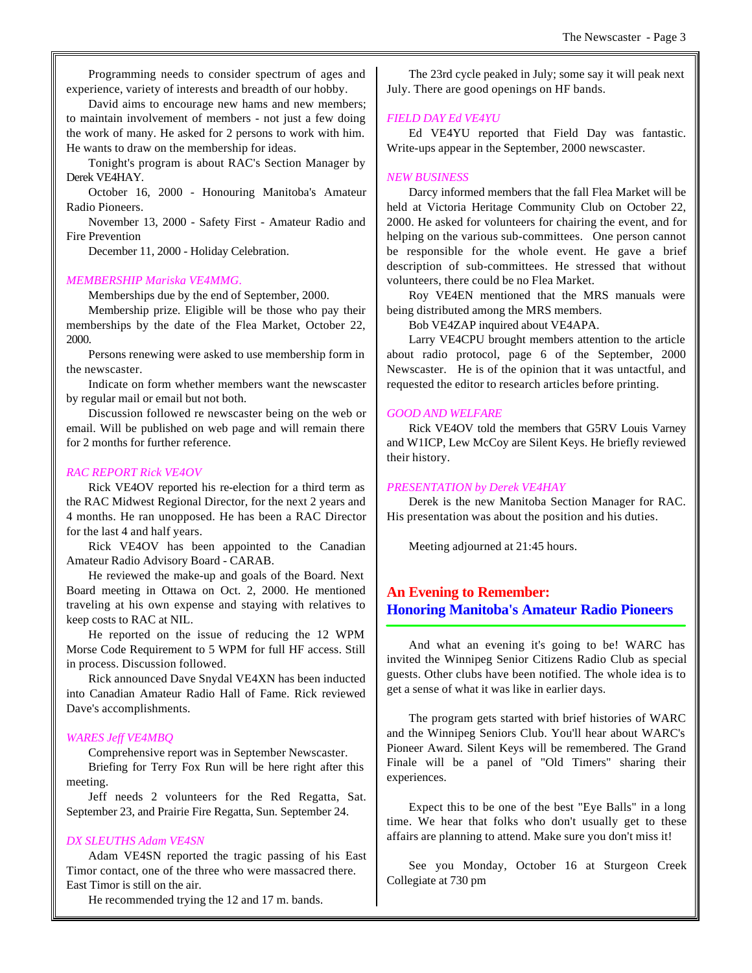Programming needs to consider spectrum of ages and experience, variety of interests and breadth of our hobby.

David aims to encourage new hams and new members; to maintain involvement of members - not just a few doing the work of many. He asked for 2 persons to work with him. He wants to draw on the membership for ideas.

Tonight's program is about RAC's Section Manager by Derek VE4HAY.

October 16, 2000 - Honouring Manitoba's Amateur Radio Pioneers.

November 13, 2000 - Safety First - Amateur Radio and Fire Prevention

December 11, 2000 - Holiday Celebration.

#### *MEMBERSHIP Mariska VE4MMG.*

Memberships due by the end of September, 2000.

Membership prize. Eligible will be those who pay their memberships by the date of the Flea Market, October 22, 2000.

Persons renewing were asked to use membership form in the newscaster.

Indicate on form whether members want the newscaster by regular mail or email but not both.

Discussion followed re newscaster being on the web or email. Will be published on web page and will remain there for 2 months for further reference.

#### *RAC REPORT Rick VE4OV*

Rick VE4OV reported his re-election for a third term as the RAC Midwest Regional Director, for the next 2 years and 4 months. He ran unopposed. He has been a RAC Director for the last 4 and half years.

Rick VE4OV has been appointed to the Canadian Amateur Radio Advisory Board - CARAB.

He reviewed the make-up and goals of the Board. Next Board meeting in Ottawa on Oct. 2, 2000. He mentioned traveling at his own expense and staying with relatives to keep costs to RAC at NIL.

He reported on the issue of reducing the 12 WPM Morse Code Requirement to 5 WPM for full HF access. Still in process. Discussion followed.

Rick announced Dave Snydal VE4XN has been inducted into Canadian Amateur Radio Hall of Fame. Rick reviewed Dave's accomplishments.

#### *WARES Jeff VE4MBQ*

Comprehensive report was in September Newscaster.

Briefing for Terry Fox Run will be here right after this meeting.

Jeff needs 2 volunteers for the Red Regatta, Sat. September 23, and Prairie Fire Regatta, Sun. September 24.

#### *DX SLEUTHS Adam VE4SN*

Adam VE4SN reported the tragic passing of his East Timor contact, one of the three who were massacred there. East Timor is still on the air.

He recommended trying the 12 and 17 m. bands.

The 23rd cycle peaked in July; some say it will peak next July. There are good openings on HF bands.

#### *FIELD DAY Ed VE4YU*

Ed VE4YU reported that Field Day was fantastic. Write-ups appear in the September, 2000 newscaster.

#### *NEW BUSINESS*

Darcy informed members that the fall Flea Market will be held at Victoria Heritage Community Club on October 22, 2000. He asked for volunteers for chairing the event, and for helping on the various sub-committees. One person cannot be responsible for the whole event. He gave a brief description of sub-committees. He stressed that without volunteers, there could be no Flea Market.

Roy VE4EN mentioned that the MRS manuals were being distributed among the MRS members.

Bob VE4ZAP inquired about VE4APA.

Larry VE4CPU brought members attention to the article about radio protocol, page 6 of the September, 2000 Newscaster. He is of the opinion that it was untactful, and requested the editor to research articles before printing.

#### *GOOD AND WELFARE*

Rick VE4OV told the members that G5RV Louis Varney and W1ICP, Lew McCoy are Silent Keys. He briefly reviewed their history.

#### *PRESENTATION by Derek VE4HAY*

Derek is the new Manitoba Section Manager for RAC. His presentation was about the position and his duties.

Meeting adjourned at 21:45 hours.

### **An Evening to Remember: Honoring Manitoba's Amateur Radio Pioneers**

And what an evening it's going to be! WARC has invited the Winnipeg Senior Citizens Radio Club as special guests. Other clubs have been notified. The whole idea is to get a sense of what it was like in earlier days.

The program gets started with brief histories of WARC and the Winnipeg Seniors Club. You'll hear about WARC's Pioneer Award. Silent Keys will be remembered. The Grand Finale will be a panel of "Old Timers" sharing their experiences.

Expect this to be one of the best "Eye Balls" in a long time. We hear that folks who don't usually get to these affairs are planning to attend. Make sure you don't miss it!

See you Monday, October 16 at Sturgeon Creek Collegiate at 730 pm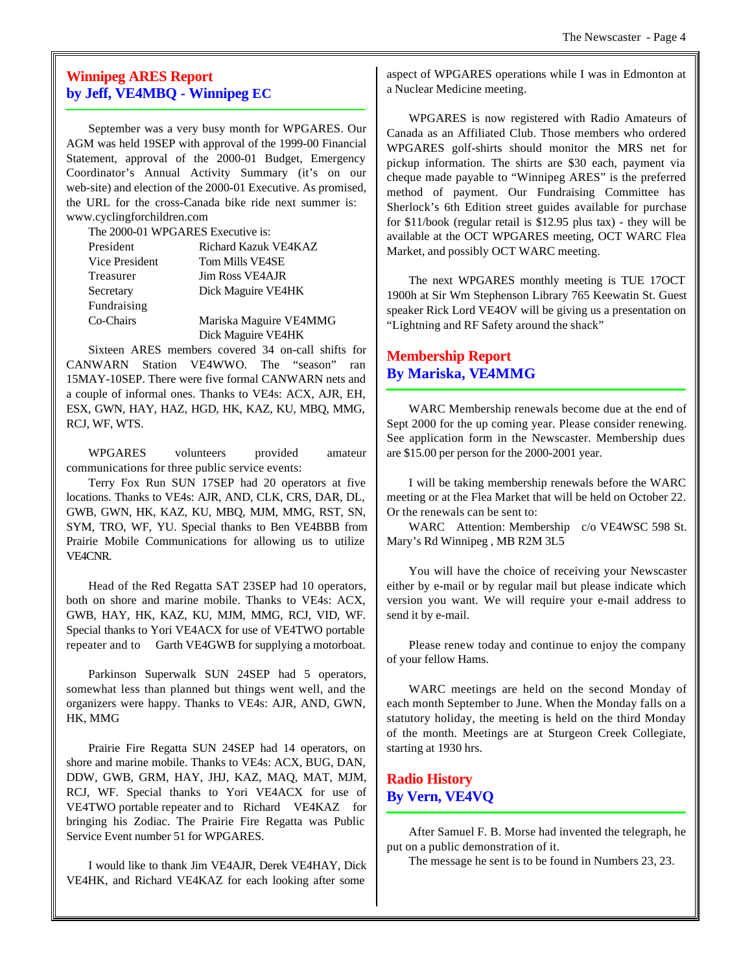# **Winnipeg ARES Report by Jeff, VE4MBQ - Winnipeg EC**

September was a very busy month for WPGARES. Our AGM was held 19SEP with approval of the 1999-00 Financial Statement, approval of the 2000-01 Budget, Emergency Coordinator's Annual Activity Summary (it's on our web-site) and election of the 2000-01 Executive. As promised, the URL for the cross-Canada bike ride next summer is: www.cyclingforchildren.com

The 2000-01 WPGARES Executive is:

| President      | Richard Kazuk VE4KAZ   |
|----------------|------------------------|
| Vice President | <b>Tom Mills VE4SE</b> |
| Treasurer      | <b>Jim Ross VE4AJR</b> |
| Secretary      | Dick Maguire VE4HK     |
| Fundraising    |                        |
| Co-Chairs      | Mariska Maguire VE4MMG |
|                | Dick Maguire VE4HK     |

Sixteen ARES members covered 34 on-call shifts for CANWARN Station VE4WWO. The "season" ran 15MAY-10SEP. There were five formal CANWARN nets and a couple of informal ones. Thanks to VE4s: ACX, AJR, EH, ESX, GWN, HAY, HAZ, HGD, HK, KAZ, KU, MBQ, MMG, RCJ, WF, WTS.

WPGARES volunteers provided amateur communications for three public service events:

Terry Fox Run SUN 17SEP had 20 operators at five locations. Thanks to VE4s: AJR, AND, CLK, CRS, DAR, DL, GWB, GWN, HK, KAZ, KU, MBQ, MJM, MMG, RST, SN, SYM, TRO, WF, YU. Special thanks to Ben VE4BBB from Prairie Mobile Communications for allowing us to utilize VE4CNR.

Head of the Red Regatta SAT 23SEP had 10 operators, both on shore and marine mobile. Thanks to VE4s: ACX, GWB, HAY, HK, KAZ, KU, MJM, MMG, RCJ, VID, WF. Special thanks to Yori VE4ACX for use of VE4TWO portable repeater and to Garth VE4GWB for supplying a motorboat.

Parkinson Superwalk SUN 24SEP had 5 operators, somewhat less than planned but things went well, and the organizers were happy. Thanks to VE4s: AJR, AND, GWN, HK, MMG

Prairie Fire Regatta SUN 24SEP had 14 operators, on shore and marine mobile. Thanks to VE4s: ACX, BUG, DAN, DDW, GWB, GRM, HAY, JHJ, KAZ, MAQ, MAT, MJM, RCJ, WF. Special thanks to Yori VE4ACX for use of VE4TWO portable repeater and to Richard VE4KAZ for bringing his Zodiac. The Prairie Fire Regatta was Public Service Event number 51 for WPGARES.

I would like to thank Jim VE4AJR, Derek VE4HAY, Dick VE4HK, and Richard VE4KAZ for each looking after some

aspect of WPGARES operations while I was in Edmonton at a Nuclear Medicine meeting.

WPGARES is now registered with Radio Amateurs of Canada as an Affiliated Club. Those members who ordered WPGARES golf-shirts should monitor the MRS net for pickup information. The shirts are \$30 each, payment via cheque made payable to "Winnipeg ARES" is the preferred method of payment. Our Fundraising Committee has Sherlock's 6th Edition street guides available for purchase for \$11/book (regular retail is \$12.95 plus tax) - they will be available at the OCT WPGARES meeting, OCT WARC Flea Market, and possibly OCT WARC meeting.

The next WPGARES monthly meeting is TUE 17OCT 1900h at Sir Wm Stephenson Library 765 Keewatin St. Guest speaker Rick Lord VE4OV will be giving us a presentation on "Lightning and RF Safety around the shack"

# **Membership Report By Mariska, VE4MMG**

WARC Membership renewals become due at the end of Sept 2000 for the up coming year. Please consider renewing. See application form in the Newscaster. Membership dues are \$15.00 per person for the 2000-2001 year.

I will be taking membership renewals before the WARC meeting or at the Flea Market that will be held on October 22. Or the renewals can be sent to:

WARC Attention: Membership c/o VE4WSC 598 St. Mary's Rd Winnipeg , MB R2M 3L5

You will have the choice of receiving your Newscaster either by e-mail or by regular mail but please indicate which version you want. We will require your e-mail address to send it by e-mail.

Please renew today and continue to enjoy the company of your fellow Hams.

WARC meetings are held on the second Monday of each month September to June. When the Monday falls on a statutory holiday, the meeting is held on the third Monday of the month. Meetings are at Sturgeon Creek Collegiate, starting at 1930 hrs.

# **Radio History By Vern, VE4VQ**

After Samuel F. B. Morse had invented the telegraph, he put on a public demonstration of it.

The message he sent is to be found in Numbers 23, 23.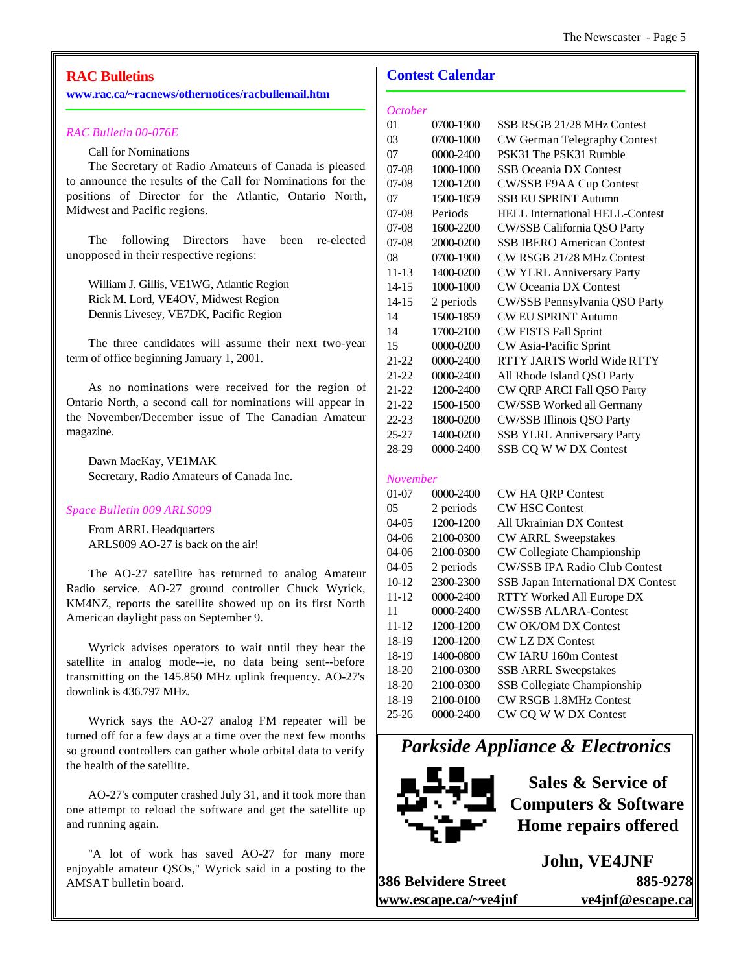# **RAC Bulletins**

#### **www.rac.ca/~racnews/othernotices/racbullemail.htm**

#### *RAC Bulletin 00-076E*

Call for Nominations

The Secretary of Radio Amateurs of Canada is pleased to announce the results of the Call for Nominations for the positions of Director for the Atlantic, Ontario North, Midwest and Pacific regions.

The following Directors have been re-elected unopposed in their respective regions:

William J. Gillis, VE1WG, Atlantic Region Rick M. Lord, VE4OV, Midwest Region Dennis Livesey, VE7DK, Pacific Region

The three candidates will assume their next two-year term of office beginning January 1, 2001.

As no nominations were received for the region of Ontario North, a second call for nominations will appear in the November/December issue of The Canadian Amateur magazine.

Dawn MacKay, VE1MAK Secretary, Radio Amateurs of Canada Inc.

#### *Space Bulletin 009 ARLS009*

From ARRL Headquarters ARLS009 AO-27 is back on the air!

The AO-27 satellite has returned to analog Amateur Radio service. AO-27 ground controller Chuck Wyrick, KM4NZ, reports the satellite showed up on its first North American daylight pass on September 9.

Wyrick advises operators to wait until they hear the satellite in analog mode--ie, no data being sent--before transmitting on the 145.850 MHz uplink frequency. AO-27's downlink is 436.797 MHz.

Wyrick says the AO-27 analog FM repeater will be turned off for a few days at a time over the next few months so ground controllers can gather whole orbital data to verify the health of the satellite.

AO-27's computer crashed July 31, and it took more than one attempt to reload the software and get the satellite up and running again.

"A lot of work has saved AO-27 for many more enjoyable amateur QSOs,'' Wyrick said in a posting to the AMSAT bulletin board.

### **Contest Calendar**

| October  |           |                                        |
|----------|-----------|----------------------------------------|
| 01       | 0700-1900 | SSB RSGB 21/28 MHz Contest             |
| 03       | 0700-1000 | CW German Telegraphy Contest           |
| 07       | 0000-2400 | PSK31 The PSK31 Rumble                 |
| 07-08    | 1000-1000 | <b>SSB Oceania DX Contest</b>          |
| 07-08    | 1200-1200 | CW/SSB F9AA Cup Contest                |
| 07       | 1500-1859 | <b>SSB EU SPRINT Autumn</b>            |
| 07-08    | Periods   | <b>HELL International HELL-Contest</b> |
| 07-08    | 1600-2200 | CW/SSB California QSO Party            |
| 07-08    | 2000-0200 | <b>SSB IBERO American Contest</b>      |
| 08       | 0700-1900 | CW RSGB 21/28 MHz Contest              |
| 11-13    | 1400-0200 | CW YLRL Anniversary Party              |
| 14-15    | 1000-1000 | <b>CW Oceania DX Contest</b>           |
| 14-15    | 2 periods | CW/SSB Pennsylvania QSO Party          |
| 14       | 1500-1859 | <b>CW EU SPRINT Autumn</b>             |
| 14       | 1700-2100 | <b>CW FISTS Fall Sprint</b>            |
| 15       | 0000-0200 | CW Asia-Pacific Sprint                 |
| 21-22    | 0000-2400 | RTTY JARTS World Wide RTTY             |
| 21-22    | 0000-2400 | All Rhode Island QSO Party             |
| 21-22    | 1200-2400 | CW QRP ARCI Fall QSO Party             |
| 21-22    | 1500-1500 | CW/SSB Worked all Germany              |
| 22-23    | 1800-0200 | CW/SSB Illinois QSO Party              |
| 25-27    | 1400-0200 | SSB YLRL Anniversary Party             |
| 28-29    | 0000-2400 | SSB CQ W W DX Contest                  |
|          |           |                                        |
| November |           |                                        |
| 01-07    | 0000-2400 | <b>CW HA QRP Contest</b>               |
| 05       | 2 periods | <b>CW HSC Contest</b>                  |
| 04-05    | 1200-1200 | All Ukrainian DX Contest               |
| 04-06    | 2100-0300 | <b>CW ARRL Sweepstakes</b>             |
| 04-06    | 2100-0300 | CW Collegiate Championship             |
| 04-05    | 2 periods | <b>CW/SSB IPA Radio Club Contest</b>   |
| 10-12    | 2300-2300 | SSB Japan International DX Contest     |
| 11-12    | 0000-2400 | RTTY Worked All Europe DX              |
| 11       | 0000-2400 | <b>CW/SSB ALARA-Contest</b>            |
| 11-12    | 1200-1200 | <b>CW OK/OM DX Contest</b>             |
| 18-19    | 1200-1200 | <b>CW LZ DX Contest</b>                |
| 18-19    | 1400-0800 | CW IARU 160m Contest                   |
| 18-20    | 2100-0300 | <b>SSB ARRL Sweepstakes</b>            |
| 18-20    | 2100-0300 | <b>SSB Collegiate Championship</b>     |
| 18-19    | 2100-0100 | CW RSGB 1.8MHz Contest                 |
| 25-26    | 0000-2400 | CW CQ W W DX Contest                   |

*Parkside Appliance & Electronics*



**Sales & Service of Computers & Software Home repairs offered**

**John, VE4JNF 386 Belvidere Street 885-9278 www.escape.ca/~ve4jnf ve4jnf@escape.ca**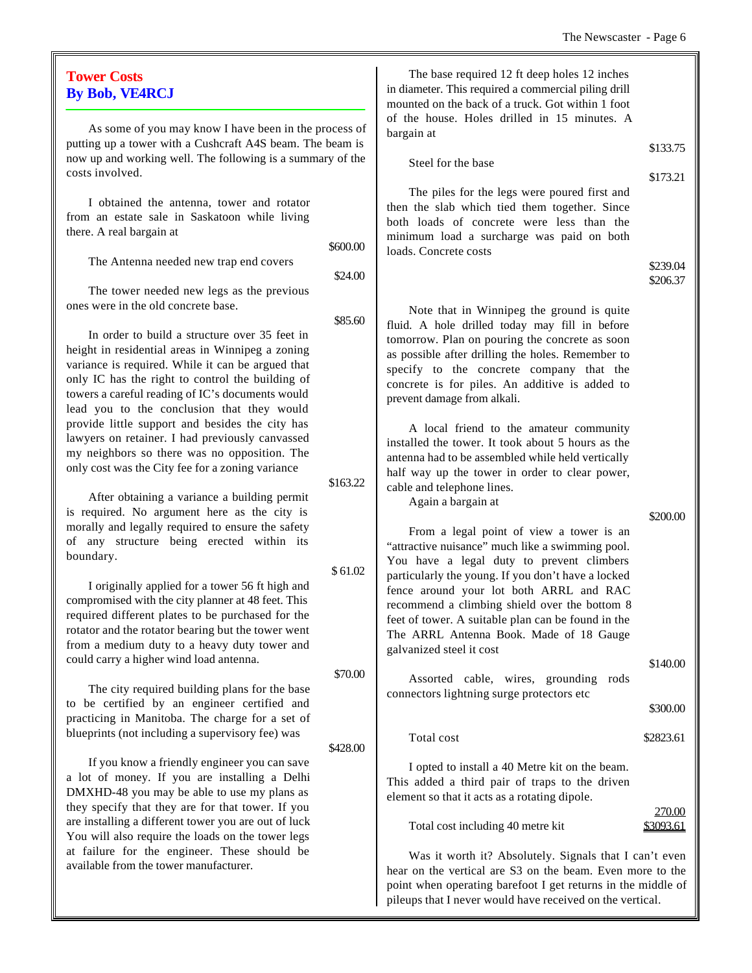$\overline{\mathbf{u}}$ 

| <b>Tower Costs</b><br><b>By Bob, VE4RCJ</b>                                                                                                                                                                                                                    |                     | The base required 12 ft deep holes 12 inches<br>in diameter. This required a commercial piling drill<br>mounted on the back of a truck. Got within 1 foot                                                                         |                     |
|----------------------------------------------------------------------------------------------------------------------------------------------------------------------------------------------------------------------------------------------------------------|---------------------|-----------------------------------------------------------------------------------------------------------------------------------------------------------------------------------------------------------------------------------|---------------------|
| As some of you may know I have been in the process of<br>putting up a tower with a Cushcraft A4S beam. The beam is<br>now up and working well. The following is a summary of the                                                                               |                     | of the house. Holes drilled in 15 minutes. A<br>bargain at                                                                                                                                                                        | \$133.75            |
| costs involved.                                                                                                                                                                                                                                                |                     | Steel for the base                                                                                                                                                                                                                | \$173.21            |
| I obtained the antenna, tower and rotator<br>from an estate sale in Saskatoon while living<br>there. A real bargain at                                                                                                                                         |                     | The piles for the legs were poured first and<br>then the slab which tied them together. Since<br>both loads of concrete were less than the<br>minimum load a surcharge was paid on both                                           |                     |
| The Antenna needed new trap end covers                                                                                                                                                                                                                         | \$600.00<br>\$24.00 | loads. Concrete costs                                                                                                                                                                                                             | \$239.04            |
| The tower needed new legs as the previous                                                                                                                                                                                                                      |                     |                                                                                                                                                                                                                                   | \$206.37            |
| ones were in the old concrete base.                                                                                                                                                                                                                            | \$85.60             | Note that in Winnipeg the ground is quite<br>fluid. A hole drilled today may fill in before                                                                                                                                       |                     |
| In order to build a structure over 35 feet in<br>height in residential areas in Winnipeg a zoning<br>variance is required. While it can be argued that<br>only IC has the right to control the building of<br>towers a careful reading of IC's documents would |                     | tomorrow. Plan on pouring the concrete as soon<br>as possible after drilling the holes. Remember to<br>specify to the concrete company that the<br>concrete is for piles. An additive is added to<br>prevent damage from alkali.  |                     |
| lead you to the conclusion that they would<br>provide little support and besides the city has<br>lawyers on retainer. I had previously canvassed<br>my neighbors so there was no opposition. The<br>only cost was the City fee for a zoning variance           | \$163.22            | A local friend to the amateur community<br>installed the tower. It took about 5 hours as the<br>antenna had to be assembled while held vertically<br>half way up the tower in order to clear power,<br>cable and telephone lines. |                     |
| After obtaining a variance a building permit<br>is required. No argument here as the city is                                                                                                                                                                   |                     | Again a bargain at                                                                                                                                                                                                                | \$200.00            |
| morally and legally required to ensure the safety<br>of any structure being erected within its<br>boundary.                                                                                                                                                    |                     | From a legal point of view a tower is an<br>"attractive nuisance" much like a swimming pool.<br>You have a legal duty to prevent climbers                                                                                         |                     |
| I originally applied for a tower 56 ft high and                                                                                                                                                                                                                | \$61.02             | particularly the young. If you don't have a locked                                                                                                                                                                                |                     |
| compromised with the city planner at 48 feet. This<br>required different plates to be purchased for the<br>rotator and the rotator bearing but the tower went<br>from a medium duty to a heavy duty tower and                                                  |                     | fence around your lot both ARRL and RAC<br>recommend a climbing shield over the bottom 8<br>feet of tower. A suitable plan can be found in the<br>The ARRL Antenna Book. Made of 18 Gauge<br>galvanized steel it cost             |                     |
| could carry a higher wind load antenna.                                                                                                                                                                                                                        | \$70.00             |                                                                                                                                                                                                                                   | \$140.00            |
| The city required building plans for the base<br>to be certified by an engineer certified and                                                                                                                                                                  |                     | Assorted cable, wires, grounding rods<br>connectors lightning surge protectors etc                                                                                                                                                | \$300.00            |
| practicing in Manitoba. The charge for a set of<br>blueprints (not including a supervisory fee) was                                                                                                                                                            |                     | Total cost                                                                                                                                                                                                                        | \$2823.61           |
| If you know a friendly engineer you can save<br>a lot of money. If you are installing a Delhi<br>DMXHD-48 you may be able to use my plans as<br>they specify that they are for that tower. If you                                                              | \$428.00            | I opted to install a 40 Metre kit on the beam.<br>This added a third pair of traps to the driven<br>element so that it acts as a rotating dipole.                                                                                 |                     |
| are installing a different tower you are out of luck<br>You will also require the loads on the tower legs                                                                                                                                                      |                     | Total cost including 40 metre kit                                                                                                                                                                                                 | 270.00<br>\$3093.61 |
| at failure for the engineer. These should be<br>available from the tower manufacturer.                                                                                                                                                                         |                     | Was it worth it? Absolutely. Signals that I can't even<br>hear on the vertical are S3 on the beam. Even more to the<br>point when operating barefoot I get returns in the middle of                                               |                     |

pileups that I never would have received on the vertical.

# **Tower Costs** By Bob, V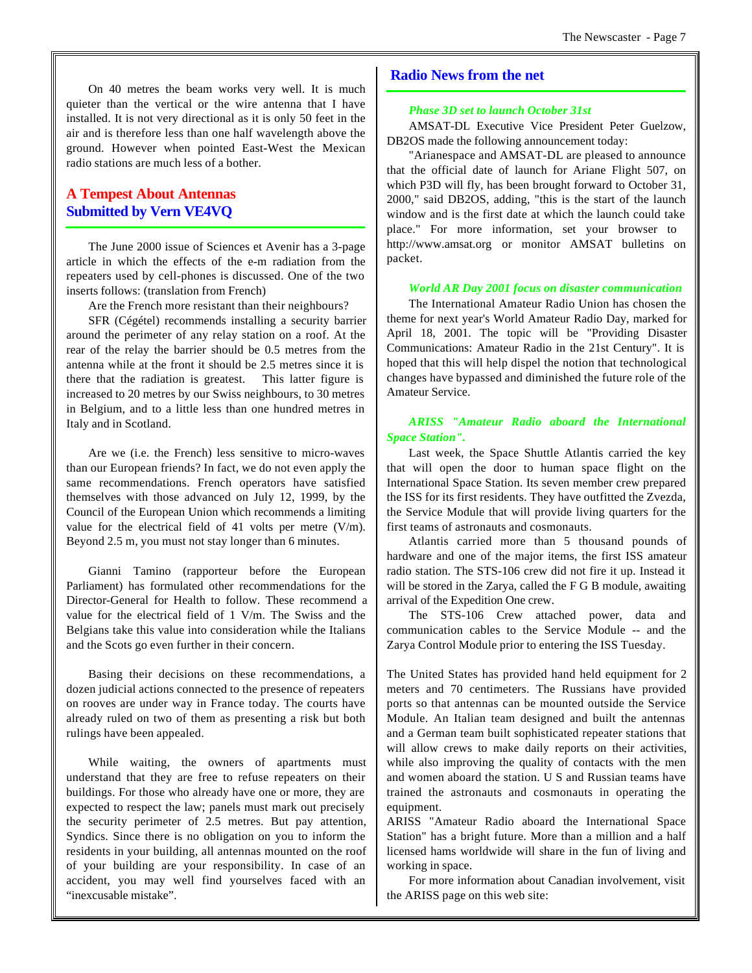On 40 metres the beam works very well. It is much quieter than the vertical or the wire antenna that I have installed. It is not very directional as it is only 50 feet in the air and is therefore less than one half wavelength above the ground. However when pointed East-West the Mexican radio stations are much less of a bother.

# **A Tempest About Antennas Submitted by Vern VE4VQ**

The June 2000 issue of Sciences et Avenir has a 3-page article in which the effects of the e-m radiation from the repeaters used by cell-phones is discussed. One of the two inserts follows: (translation from French)

Are the French more resistant than their neighbours?

SFR (Cégétel) recommends installing a security barrier around the perimeter of any relay station on a roof. At the rear of the relay the barrier should be 0.5 metres from the antenna while at the front it should be 2.5 metres since it is there that the radiation is greatest. This latter figure is increased to 20 metres by our Swiss neighbours, to 30 metres in Belgium, and to a little less than one hundred metres in Italy and in Scotland.

Are we (i.e. the French) less sensitive to micro-waves than our European friends? In fact, we do not even apply the same recommendations. French operators have satisfied themselves with those advanced on July 12, 1999, by the Council of the European Union which recommends a limiting value for the electrical field of 41 volts per metre (V/m). Beyond 2.5 m, you must not stay longer than 6 minutes.

Gianni Tamino (rapporteur before the European Parliament) has formulated other recommendations for the Director-General for Health to follow. These recommend a value for the electrical field of 1 V/m. The Swiss and the Belgians take this value into consideration while the Italians and the Scots go even further in their concern.

Basing their decisions on these recommendations, a dozen judicial actions connected to the presence of repeaters on rooves are under way in France today. The courts have already ruled on two of them as presenting a risk but both rulings have been appealed.

While waiting, the owners of apartments must understand that they are free to refuse repeaters on their buildings. For those who already have one or more, they are expected to respect the law; panels must mark out precisely the security perimeter of 2.5 metres. But pay attention, Syndics. Since there is no obligation on you to inform the residents in your building, all antennas mounted on the roof of your building are your responsibility. In case of an accident, you may well find yourselves faced with an "inexcusable mistake".

### **Radio News from the net**

#### *Phase 3D set to launch October 31st*

AMSAT-DL Executive Vice President Peter Guelzow, DB2OS made the following announcement today:

"Arianespace and AMSAT-DL are pleased to announce that the official date of launch for Ariane Flight 507, on which P3D will fly, has been brought forward to October 31, 2000," said DB2OS, adding, "this is the start of the launch window and is the first date at which the launch could take place." For more information, set your browser to http://www.amsat.org or monitor AMSAT bulletins on packet.

#### *World AR Day 2001 focus on disaster communication*

The International Amateur Radio Union has chosen the theme for next year's World Amateur Radio Day, marked for April 18, 2001. The topic will be "Providing Disaster Communications: Amateur Radio in the 21st Century". It is hoped that this will help dispel the notion that technological changes have bypassed and diminished the future role of the Amateur Service.

#### *ARISS "Amateur Radio aboard the International Space Station".*

Last week, the Space Shuttle Atlantis carried the key that will open the door to human space flight on the International Space Station. Its seven member crew prepared the ISS for its first residents. They have outfitted the Zvezda, the Service Module that will provide living quarters for the first teams of astronauts and cosmonauts.

Atlantis carried more than 5 thousand pounds of hardware and one of the major items, the first ISS amateur radio station. The STS-106 crew did not fire it up. Instead it will be stored in the Zarya, called the F G B module, awaiting arrival of the Expedition One crew.

The STS-106 Crew attached power, data and communication cables to the Service Module -- and the Zarya Control Module prior to entering the ISS Tuesday.

The United States has provided hand held equipment for 2 meters and 70 centimeters. The Russians have provided ports so that antennas can be mounted outside the Service Module. An Italian team designed and built the antennas and a German team built sophisticated repeater stations that will allow crews to make daily reports on their activities, while also improving the quality of contacts with the men and women aboard the station. U S and Russian teams have trained the astronauts and cosmonauts in operating the equipment.

ARISS "Amateur Radio aboard the International Space Station" has a bright future. More than a million and a half licensed hams worldwide will share in the fun of living and working in space.

For more information about Canadian involvement, visit the ARISS page on this web site: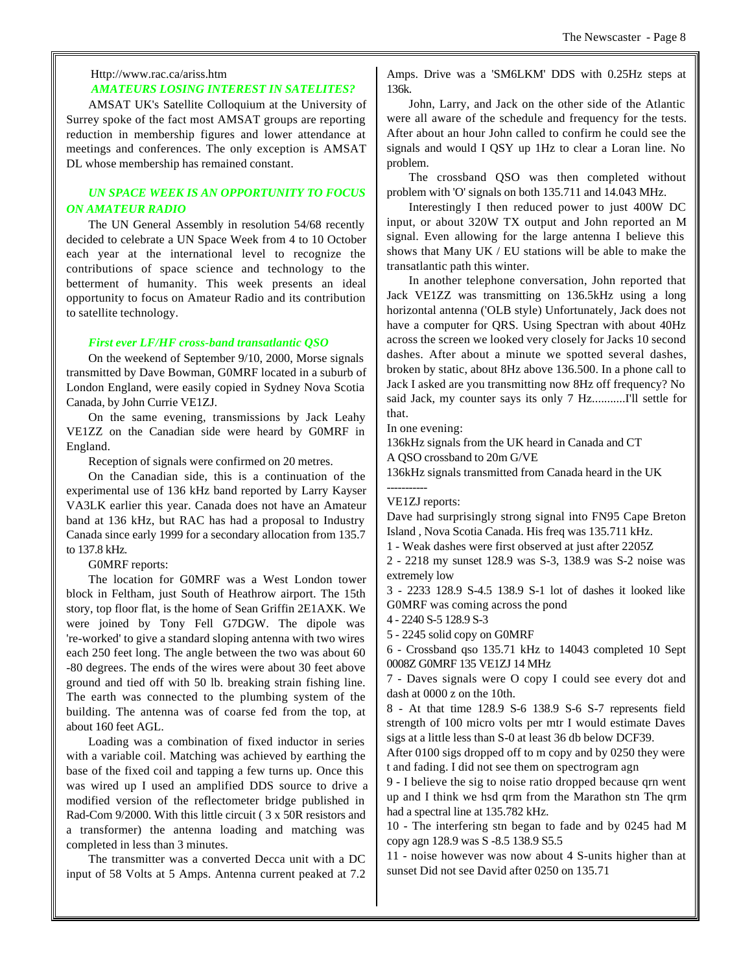#### Http://www.rac.ca/ariss.htm  *AMATEURS LOSING INTEREST IN SATELITES?*

AMSAT UK's Satellite Colloquium at the University of Surrey spoke of the fact most AMSAT groups are reporting reduction in membership figures and lower attendance at meetings and conferences. The only exception is AMSAT DL whose membership has remained constant.

#### *UN SPACE WEEK IS AN OPPORTUNITY TO FOCUS ON AMATEUR RADIO*

The UN General Assembly in resolution 54/68 recently decided to celebrate a UN Space Week from 4 to 10 October each year at the international level to recognize the contributions of space science and technology to the betterment of humanity. This week presents an ideal opportunity to focus on Amateur Radio and its contribution to satellite technology.

#### *First ever LF/HF cross-band transatlantic QSO*

On the weekend of September 9/10, 2000, Morse signals transmitted by Dave Bowman, G0MRF located in a suburb of London England, were easily copied in Sydney Nova Scotia Canada, by John Currie VE1ZJ.

On the same evening, transmissions by Jack Leahy VE1ZZ on the Canadian side were heard by G0MRF in England.

Reception of signals were confirmed on 20 metres.

On the Canadian side, this is a continuation of the experimental use of 136 kHz band reported by Larry Kayser VA3LK earlier this year. Canada does not have an Amateur band at 136 kHz, but RAC has had a proposal to Industry Canada since early 1999 for a secondary allocation from 135.7 to 137.8 kHz.

#### G0MRF reports:

The location for G0MRF was a West London tower block in Feltham, just South of Heathrow airport. The 15th story, top floor flat, is the home of Sean Griffin 2E1AXK. We were joined by Tony Fell G7DGW. The dipole was 're-worked' to give a standard sloping antenna with two wires each 250 feet long. The angle between the two was about 60 -80 degrees. The ends of the wires were about 30 feet above ground and tied off with 50 lb. breaking strain fishing line. The earth was connected to the plumbing system of the building. The antenna was of coarse fed from the top, at about 160 feet AGL.

Loading was a combination of fixed inductor in series with a variable coil. Matching was achieved by earthing the base of the fixed coil and tapping a few turns up. Once this was wired up I used an amplified DDS source to drive a modified version of the reflectometer bridge published in Rad-Com 9/2000. With this little circuit ( 3 x 50R resistors and a transformer) the antenna loading and matching was completed in less than 3 minutes.

The transmitter was a converted Decca unit with a DC input of 58 Volts at 5 Amps. Antenna current peaked at 7.2

Amps. Drive was a 'SM6LKM' DDS with 0.25Hz steps at 136k.

John, Larry, and Jack on the other side of the Atlantic were all aware of the schedule and frequency for the tests. After about an hour John called to confirm he could see the signals and would I QSY up 1Hz to clear a Loran line. No problem.

The crossband QSO was then completed without problem with 'O' signals on both 135.711 and 14.043 MHz.

Interestingly I then reduced power to just 400W DC input, or about 320W TX output and John reported an M signal. Even allowing for the large antenna I believe this shows that Many UK / EU stations will be able to make the transatlantic path this winter.

In another telephone conversation, John reported that Jack VE1ZZ was transmitting on 136.5kHz using a long horizontal antenna ('OLB style) Unfortunately, Jack does not have a computer for QRS. Using Spectran with about 40Hz across the screen we looked very closely for Jacks 10 second dashes. After about a minute we spotted several dashes, broken by static, about 8Hz above 136.500. In a phone call to Jack I asked are you transmitting now 8Hz off frequency? No said Jack, my counter says its only 7 Hz...........I'll settle for that.

In one evening:

136kHz signals from the UK heard in Canada and CT

A QSO crossband to 20m G/VE

136kHz signals transmitted from Canada heard in the UK

#### VE1ZJ reports:

-----------

Dave had surprisingly strong signal into FN95 Cape Breton Island , Nova Scotia Canada. His freq was 135.711 kHz.

1 - Weak dashes were first observed at just after 2205Z

2 - 2218 my sunset 128.9 was S-3, 138.9 was S-2 noise was extremely low

3 - 2233 128.9 S-4.5 138.9 S-1 lot of dashes it looked like G0MRF was coming across the pond

4 - 2240 S-5 128.9 S-3

5 - 2245 solid copy on G0MRF

6 - Crossband qso 135.71 kHz to 14043 completed 10 Sept 0008Z G0MRF 135 VE1ZJ 14 MHz

7 - Daves signals were O copy I could see every dot and dash at 0000 z on the 10th.

8 - At that time 128.9 S-6 138.9 S-6 S-7 represents field strength of 100 micro volts per mtr I would estimate Daves sigs at a little less than S-0 at least 36 db below DCF39.

After 0100 sigs dropped off to m copy and by 0250 they were t and fading. I did not see them on spectrogram agn

9 - I believe the sig to noise ratio dropped because qrn went up and I think we hsd qrm from the Marathon stn The qrm had a spectral line at 135.782 kHz.

10 - The interfering stn began to fade and by 0245 had M copy agn 128.9 was S -8.5 138.9 S5.5

11 - noise however was now about 4 S-units higher than at sunset Did not see David after 0250 on 135.71